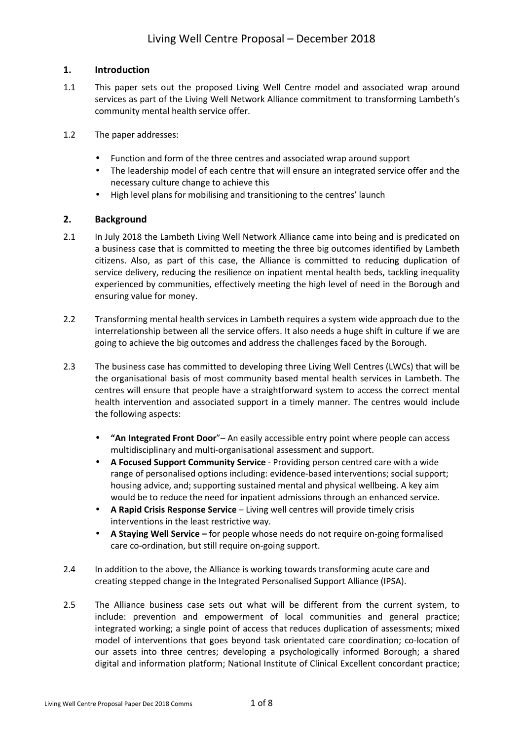# **1. Introduction**

- 1.1 This paper sets out the proposed Living Well Centre model and associated wrap around services as part of the Living Well Network Alliance commitment to transforming Lambeth's community mental health service offer.
- 1.2 The paper addresses:
	- Function and form of the three centres and associated wrap around support
	- The leadership model of each centre that will ensure an integrated service offer and the necessary culture change to achieve this
	- High level plans for mobilising and transitioning to the centres' launch

# **2. Background**

- 2.1 In July 2018 the Lambeth Living Well Network Alliance came into being and is predicated on a business case that is committed to meeting the three big outcomes identified by Lambeth citizens. Also, as part of this case, the Alliance is committed to reducing duplication of service delivery, reducing the resilience on inpatient mental health beds, tackling inequality experienced by communities, effectively meeting the high level of need in the Borough and ensuring value for money.
- 2.2 Transforming mental health services in Lambeth requires a system wide approach due to the interrelationship between all the service offers. It also needs a huge shift in culture if we are going to achieve the big outcomes and address the challenges faced by the Borough.
- 2.3 The business case has committed to developing three Living Well Centres (LWCs) that will be the organisational basis of most community based mental health services in Lambeth. The centres will ensure that people have a straightforward system to access the correct mental health intervention and associated support in a timely manner. The centres would include the following aspects:
	- **"An Integrated Front Door**"– An easily accessible entry point where people can access multidisciplinary and multi-organisational assessment and support.
	- **A Focused Support Community Service**  Providing person centred care with a wide range of personalised options including: evidence-based interventions; social support; housing advice, and; supporting sustained mental and physical wellbeing. A key aim would be to reduce the need for inpatient admissions through an enhanced service.
	- **A Rapid Crisis Response Service**  Living well centres will provide timely crisis interventions in the least restrictive way.
	- **A Staying Well Service** for people whose needs do not require on-going formalised care co-ordination, but still require on-going support.
- 2.4 In addition to the above, the Alliance is working towards transforming acute care and creating stepped change in the Integrated Personalised Support Alliance (IPSA).
- 2.5 The Alliance business case sets out what will be different from the current system, to include: prevention and empowerment of local communities and general practice; integrated working; a single point of access that reduces duplication of assessments; mixed model of interventions that goes beyond task orientated care coordination; co-location of our assets into three centres; developing a psychologically informed Borough; a shared digital and information platform; National Institute of Clinical Excellent concordant practice;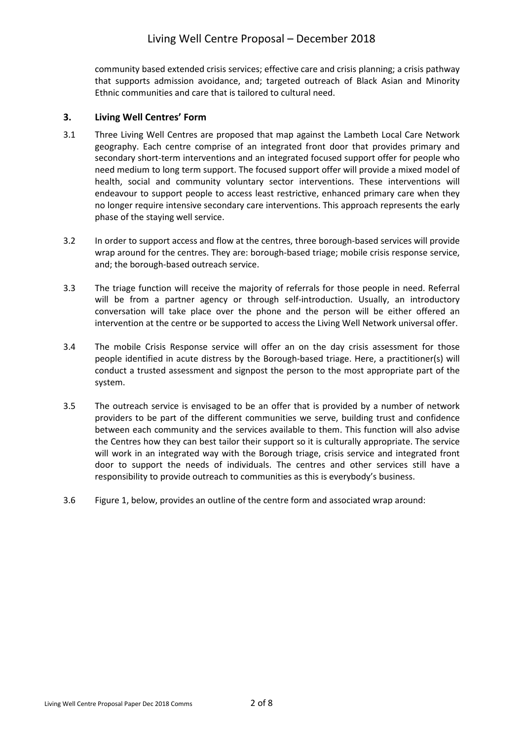community based extended crisis services; effective care and crisis planning; a crisis pathway that supports admission avoidance, and; targeted outreach of Black Asian and Minority Ethnic communities and care that is tailored to cultural need.

# **3. Living Well Centres' Form**

- 3.1 Three Living Well Centres are proposed that map against the Lambeth Local Care Network geography. Each centre comprise of an integrated front door that provides primary and secondary short-term interventions and an integrated focused support offer for people who need medium to long term support. The focused support offer will provide a mixed model of health, social and community voluntary sector interventions. These interventions will endeavour to support people to access least restrictive, enhanced primary care when they no longer require intensive secondary care interventions. This approach represents the early phase of the staying well service.
- 3.2 In order to support access and flow at the centres, three borough-based services will provide wrap around for the centres. They are: borough-based triage; mobile crisis response service, and; the borough-based outreach service.
- 3.3 The triage function will receive the majority of referrals for those people in need. Referral will be from a partner agency or through self-introduction. Usually, an introductory conversation will take place over the phone and the person will be either offered an intervention at the centre or be supported to access the Living Well Network universal offer.
- 3.4 The mobile Crisis Response service will offer an on the day crisis assessment for those people identified in acute distress by the Borough-based triage. Here, a practitioner(s) will conduct a trusted assessment and signpost the person to the most appropriate part of the system.
- 3.5 The outreach service is envisaged to be an offer that is provided by a number of network providers to be part of the different communities we serve, building trust and confidence between each community and the services available to them. This function will also advise the Centres how they can best tailor their support so it is culturally appropriate. The service will work in an integrated way with the Borough triage, crisis service and integrated front door to support the needs of individuals. The centres and other services still have a responsibility to provide outreach to communities as this is everybody's business.
- 3.6 Figure 1, below, provides an outline of the centre form and associated wrap around: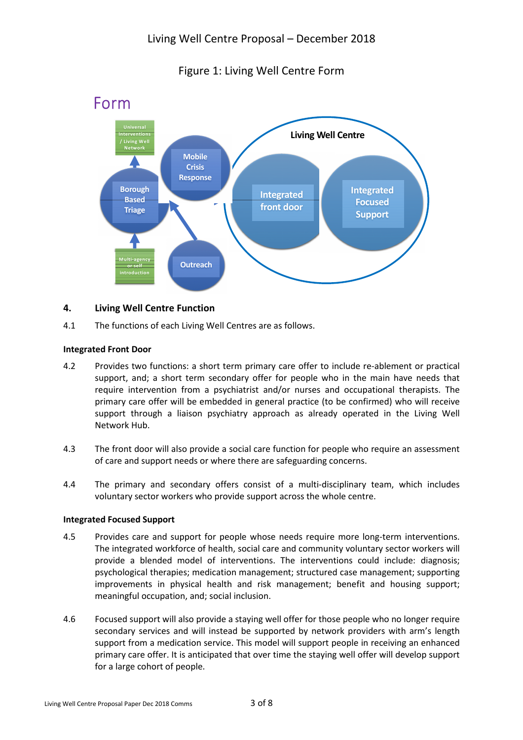



# **4. Living Well Centre Function**

4.1 The functions of each Living Well Centres are as follows.

## **Integrated Front Door**

- 4.2 Provides two functions: a short term primary care offer to include re-ablement or practical support, and; a short term secondary offer for people who in the main have needs that require intervention from a psychiatrist and/or nurses and occupational therapists. The primary care offer will be embedded in general practice (to be confirmed) who will receive support through a liaison psychiatry approach as already operated in the Living Well Network Hub.
- 4.3 The front door will also provide a social care function for people who require an assessment of care and support needs or where there are safeguarding concerns.
- 4.4 The primary and secondary offers consist of a multi-disciplinary team, which includes voluntary sector workers who provide support across the whole centre.

## **Integrated Focused Support**

- 4.5 Provides care and support for people whose needs require more long-term interventions. The integrated workforce of health, social care and community voluntary sector workers will provide a blended model of interventions. The interventions could include: diagnosis; psychological therapies; medication management; structured case management; supporting improvements in physical health and risk management; benefit and housing support; meaningful occupation, and; social inclusion.
- 4.6 Focused support will also provide a staying well offer for those people who no longer require secondary services and will instead be supported by network providers with arm's length support from a medication service. This model will support people in receiving an enhanced primary care offer. It is anticipated that over time the staying well offer will develop support for a large cohort of people.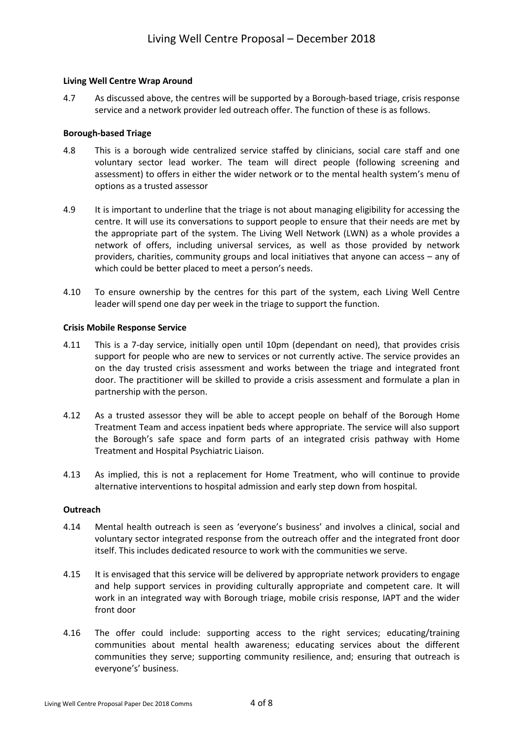## **Living Well Centre Wrap Around**

4.7 As discussed above, the centres will be supported by a Borough-based triage, crisis response service and a network provider led outreach offer. The function of these is as follows.

#### **Borough-based Triage**

- 4.8 This is a borough wide centralized service staffed by clinicians, social care staff and one voluntary sector lead worker. The team will direct people (following screening and assessment) to offers in either the wider network or to the mental health system's menu of options as a trusted assessor
- 4.9 It is important to underline that the triage is not about managing eligibility for accessing the centre. It will use its conversations to support people to ensure that their needs are met by the appropriate part of the system. The Living Well Network (LWN) as a whole provides a network of offers, including universal services, as well as those provided by network providers, charities, community groups and local initiatives that anyone can access – any of which could be better placed to meet a person's needs.
- 4.10 To ensure ownership by the centres for this part of the system, each Living Well Centre leader will spend one day per week in the triage to support the function.

#### **Crisis Mobile Response Service**

- 4.11 This is a 7-day service, initially open until 10pm (dependant on need), that provides crisis support for people who are new to services or not currently active. The service provides an on the day trusted crisis assessment and works between the triage and integrated front door. The practitioner will be skilled to provide a crisis assessment and formulate a plan in partnership with the person.
- 4.12 As a trusted assessor they will be able to accept people on behalf of the Borough Home Treatment Team and access inpatient beds where appropriate. The service will also support the Borough's safe space and form parts of an integrated crisis pathway with Home Treatment and Hospital Psychiatric Liaison.
- 4.13 As implied, this is not a replacement for Home Treatment, who will continue to provide alternative interventions to hospital admission and early step down from hospital.

#### **Outreach**

- 4.14 Mental health outreach is seen as 'everyone's business' and involves a clinical, social and voluntary sector integrated response from the outreach offer and the integrated front door itself. This includes dedicated resource to work with the communities we serve.
- 4.15 It is envisaged that this service will be delivered by appropriate network providers to engage and help support services in providing culturally appropriate and competent care. It will work in an integrated way with Borough triage, mobile crisis response, IAPT and the wider front door
- 4.16 The offer could include: supporting access to the right services; educating/training communities about mental health awareness; educating services about the different communities they serve; supporting community resilience, and; ensuring that outreach is everyone's' business.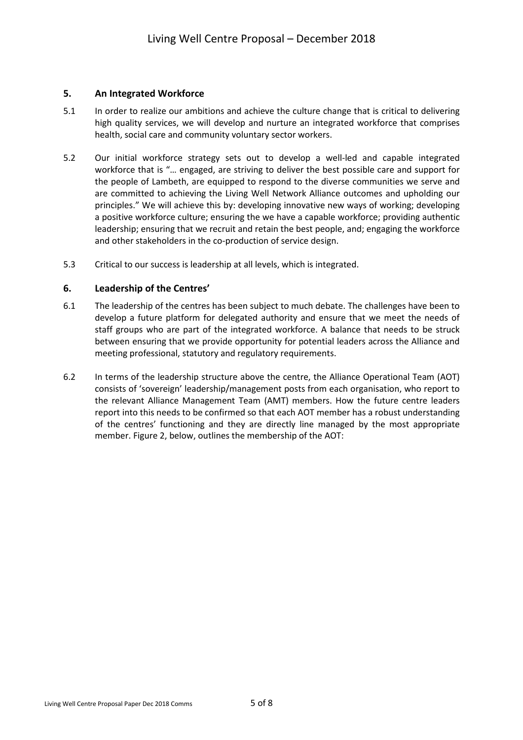## **5. An Integrated Workforce**

- 5.1 In order to realize our ambitions and achieve the culture change that is critical to delivering high quality services, we will develop and nurture an integrated workforce that comprises health, social care and community voluntary sector workers.
- 5.2 Our initial workforce strategy sets out to develop a well-led and capable integrated workforce that is "… engaged, are striving to deliver the best possible care and support for the people of Lambeth, are equipped to respond to the diverse communities we serve and are committed to achieving the Living Well Network Alliance outcomes and upholding our principles." We will achieve this by: developing innovative new ways of working; developing a positive workforce culture; ensuring the we have a capable workforce; providing authentic leadership; ensuring that we recruit and retain the best people, and; engaging the workforce and other stakeholders in the co-production of service design.
- 5.3 Critical to our success is leadership at all levels, which is integrated.

## **6. Leadership of the Centres'**

- 6.1 The leadership of the centres has been subject to much debate. The challenges have been to develop a future platform for delegated authority and ensure that we meet the needs of staff groups who are part of the integrated workforce. A balance that needs to be struck between ensuring that we provide opportunity for potential leaders across the Alliance and meeting professional, statutory and regulatory requirements.
- 6.2 In terms of the leadership structure above the centre, the Alliance Operational Team (AOT) consists of 'sovereign' leadership/management posts from each organisation, who report to the relevant Alliance Management Team (AMT) members. How the future centre leaders report into this needs to be confirmed so that each AOT member has a robust understanding of the centres' functioning and they are directly line managed by the most appropriate member. Figure 2, below, outlines the membership of the AOT: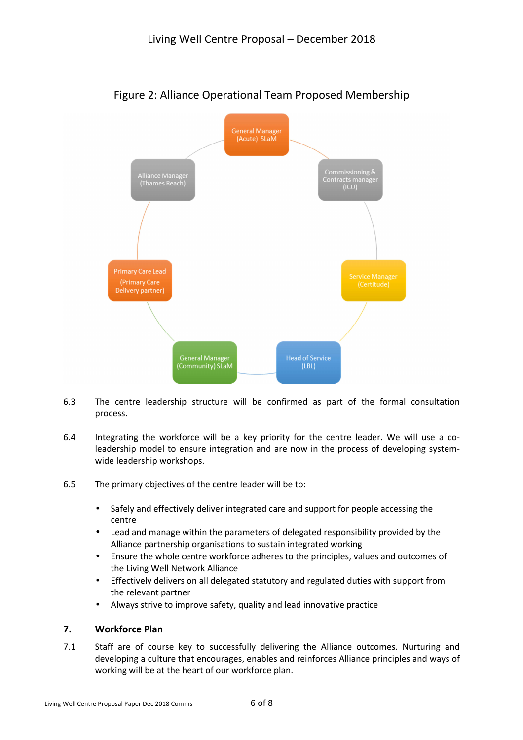

# Figure 2: Alliance Operational Team Proposed Membership

- 6.3 The centre leadership structure will be confirmed as part of the formal consultation process.
- 6.4 Integrating the workforce will be a key priority for the centre leader. We will use a coleadership model to ensure integration and are now in the process of developing systemwide leadership workshops.
- 6.5 The primary objectives of the centre leader will be to:
	- Safely and effectively deliver integrated care and support for people accessing the centre
	- Lead and manage within the parameters of delegated responsibility provided by the Alliance partnership organisations to sustain integrated working
	- Ensure the whole centre workforce adheres to the principles, values and outcomes of the Living Well Network Alliance
	- Effectively delivers on all delegated statutory and regulated duties with support from the relevant partner
	- Always strive to improve safety, quality and lead innovative practice

# **7. Workforce Plan**

7.1 Staff are of course key to successfully delivering the Alliance outcomes. Nurturing and developing a culture that encourages, enables and reinforces Alliance principles and ways of working will be at the heart of our workforce plan.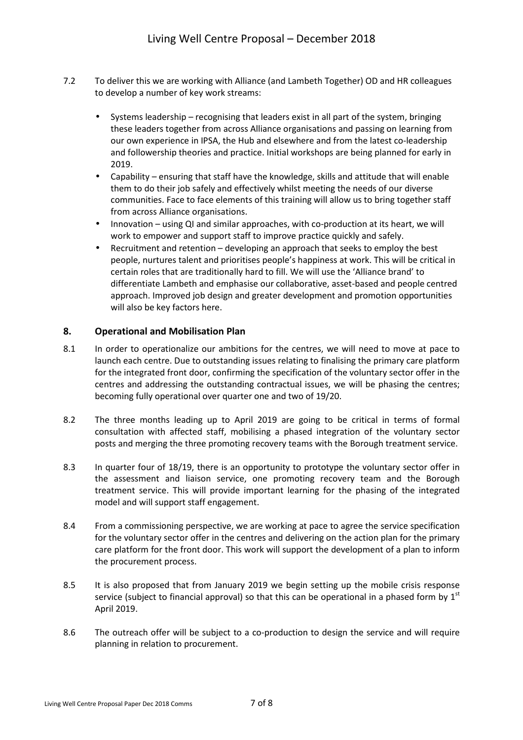- 7.2 To deliver this we are working with Alliance (and Lambeth Together) OD and HR colleagues to develop a number of key work streams:
	- Systems leadership recognising that leaders exist in all part of the system, bringing these leaders together from across Alliance organisations and passing on learning from our own experience in IPSA, the Hub and elsewhere and from the latest co-leadership and followership theories and practice. Initial workshops are being planned for early in 2019.
	- Capability ensuring that staff have the knowledge, skills and attitude that will enable them to do their job safely and effectively whilst meeting the needs of our diverse communities. Face to face elements of this training will allow us to bring together staff from across Alliance organisations.
	- Innovation using QI and similar approaches, with co-production at its heart, we will work to empower and support staff to improve practice quickly and safely.
	- Recruitment and retention developing an approach that seeks to employ the best people, nurtures talent and prioritises people's happiness at work. This will be critical in certain roles that are traditionally hard to fill. We will use the 'Alliance brand' to differentiate Lambeth and emphasise our collaborative, asset-based and people centred approach. Improved job design and greater development and promotion opportunities will also be key factors here.

# **8. Operational and Mobilisation Plan**

- 8.1 In order to operationalize our ambitions for the centres, we will need to move at pace to launch each centre. Due to outstanding issues relating to finalising the primary care platform for the integrated front door, confirming the specification of the voluntary sector offer in the centres and addressing the outstanding contractual issues, we will be phasing the centres; becoming fully operational over quarter one and two of 19/20.
- 8.2 The three months leading up to April 2019 are going to be critical in terms of formal consultation with affected staff, mobilising a phased integration of the voluntary sector posts and merging the three promoting recovery teams with the Borough treatment service.
- 8.3 In quarter four of 18/19, there is an opportunity to prototype the voluntary sector offer in the assessment and liaison service, one promoting recovery team and the Borough treatment service. This will provide important learning for the phasing of the integrated model and will support staff engagement.
- 8.4 From a commissioning perspective, we are working at pace to agree the service specification for the voluntary sector offer in the centres and delivering on the action plan for the primary care platform for the front door. This work will support the development of a plan to inform the procurement process.
- 8.5 It is also proposed that from January 2019 we begin setting up the mobile crisis response service (subject to financial approval) so that this can be operational in a phased form by  $1<sup>st</sup>$ April 2019.
- 8.6 The outreach offer will be subject to a co-production to design the service and will require planning in relation to procurement.